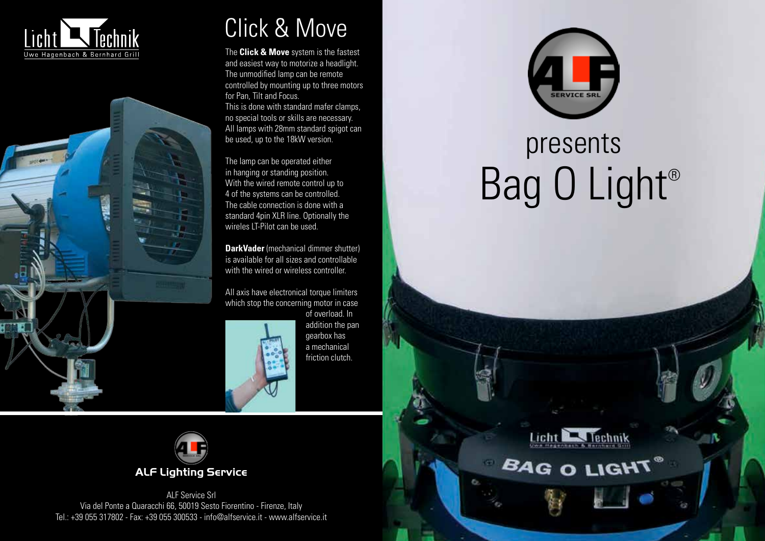



## Click & Move

The **Click & Move** system is the fastest and easiest way to motorize a headlight. The unmodified lamp can be remote controlled by mounting up to three motors for Pan, Tilt and Focus. This is done with standard mafer clamps, no special tools or skills are necessary. All lamps with 28mm standard spigot can be used, up to the 18kW version.

The lamp can be operated either in hanging or standing position. With the wired remote control up to 4 of the systems can be controlled. The cable connection is done with a standard 4pin XLR line. Optionally the wireles LT-Pilot can be used.

**DarkVader** (mechanical dimmer shutter) is available for all sizes and controllable with the wired or wireless controller.

All axis have electronical torque limiters which stop the concerning motor in case of overload. In



addition the pan gearbox has a mechanical friction clutch.



ALF Service Srl Via del Ponte a Quaracchi 66, 50019 Sesto Fiorentino - Firenze, Italy Tel.: +39 055 317802 - Fax: +39 055 300533 - info@alfservice.it - www.alfservice.it



## Bag O Light® presents



**BAG O LIGHT**®